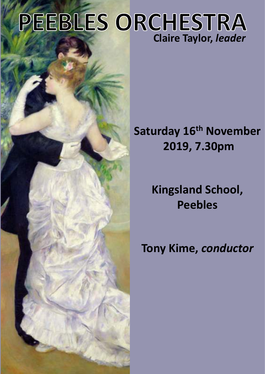# **PEEBLES ORCHESTRA Claire Taylor,** *leader*

# **Saturday 16th November 2019, 7.30pm**

**Kingsland School, Peebles**

# **Tony Kime,** *conductor*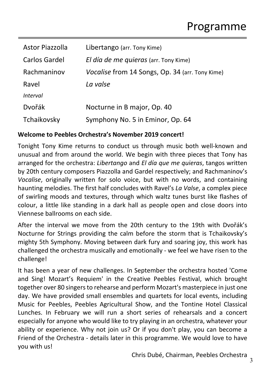| Astor Piazzolla | Libertango (arr. Tony Kime)                            |
|-----------------|--------------------------------------------------------|
| Carlos Gardel   | El día de me quieras (arr. Tony Kime)                  |
| Rachmaninov     | <i>Vocalise</i> from 14 Songs, Op. 34 (arr. Tony Kime) |
| Ravel           | La valse                                               |
| <i>Interval</i> |                                                        |
| Dvořák          | Nocturne in B major, Op. 40                            |
| Tchaikovsky     | Symphony No. 5 in Eminor, Op. 64                       |

#### **Welcome to Peebles Orchestra's November 2019 concert!**

Tonight Tony Kime returns to conduct us through music both well-known and unusual and from around the world. We begin with three pieces that Tony has arranged for the orchestra: *Libertango* and *El día que me quieras*, tangos written by 20th century composers Piazzolla and Gardel respectively; and Rachmaninov's *Vocalise*, originally written for solo voice, but with no words, and containing haunting melodies. The first half concludes with Ravel's *La Valse*, a complex piece of swirling moods and textures, through which waltz tunes burst like flashes of colour, a little like standing in a dark hall as people open and close doors into Viennese ballrooms on each side.

After the interval we move from the 20th century to the 19th with Dvořák's Nocturne for Strings providing the calm before the storm that is Tchaikovsky's mighty 5th Symphony. Moving between dark fury and soaring joy, this work has challenged the orchestra musically and emotionally - we feel we have risen to the challenge!

It has been a year of new challenges. In September the orchestra hosted 'Come and Sing! Mozart's Requiem' in the Creative Peebles Festival, which brought together over 80 singers to rehearse and perform Mozart's masterpiece in just one day. We have provided small ensembles and quartets for local events, including Music for Peebles, Peebles Agricultural Show, and the Tontine Hotel Classical Lunches. In February we will run a short series of rehearsals and a concert especially for anyone who would like to try playing in an orchestra, whatever your ability or experience. Why not join us? Or if you don't play, you can become a Friend of the Orchestra - details later in this programme. We would love to have you with us!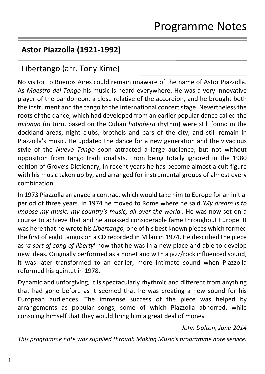## **Astor Piazzolla (1921-1992)**

# Libertango (arr. Tony Kime)

No visitor to Buenos Aires could remain unaware of the name of Astor Piazzolla. As *Maestro del Tango* his music is heard everywhere. He was a very innovative player of the bandoneon, a close relative of the accordion, and he brought both the instrument and the tango to the international concert stage. Nevertheless the roots of the dance, which had developed from an earlier popular dance called the *milonga* (in turn, based on the Cuban *habañera* rhythm) were still found in the dockland areas, night clubs, brothels and bars of the city, and still remain in Piazzolla's music. He updated the dance for a new generation and the vivacious style of the *Nuevo Tango* soon attracted a large audience, but not without opposition from tango traditionalists. From being totally ignored in the 1980 edition of Grove's Dictionary, in recent years he has become almost a cult figure with his music taken up by, and arranged for instrumental groups of almost every combination.

In 1973 Piazzolla arranged a contract which would take him to Europe for an initial period of three years. In 1974 he moved to Rome where he said *'My dream is to impose my music, my country's music, all over the world*'. He was now set on a course to achieve that and he amassed considerable fame throughout Europe. It was here that he wrote his *Libertango,* one of his best known pieces which formed the first of eight tangos on a CD recorded in Milan in 1974. He described the piece as *'a sort of song of liberty*' now that he was in a new place and able to develop new ideas. Originally performed as a nonet and with a jazz/rock influenced sound, it was later transformed to an earlier, more intimate sound when Piazzolla reformed his quintet in 1978.

Dynamic and unforgiving, it is spectacularly rhythmic and different from anything that had gone before as it seemed that he was creating a new sound for his European audiences. The immense success of the piece was helped by arrangements as popular songs, some of which Piazzolla abhorred, while consoling himself that they would bring him a great deal of money!

*John Dalton, June 2014*

*This programme note was supplied through Making Music's programme note service.*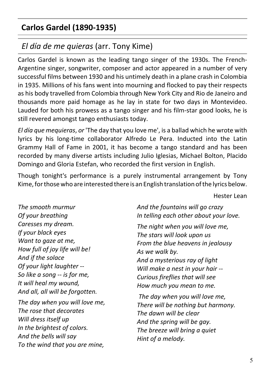# **Carlos Gardel (1890-1935)**

## *El día de me quieras* (arr. Tony Kime)

Carlos Gardel is known as the leading tango singer of the 1930s. The French-Argentine singer, songwriter, composer and actor appeared in a number of very successful films between 1930 and his untimely death in a plane crash in Colombia in 1935. Millions of his fans went into mourning and flocked to pay their respects as his body travelled from Colombia through New York City and Rio de Janeiro and thousands more paid homage as he lay in state for two days in Montevideo. Lauded for both his prowess as a tango singer and his film-star good looks, he is still revered amongst tango enthusiasts today.

*El día que mequieras*, *or* 'The day that you love me', is a ballad which he wrote with lyrics by his long-time collaborator Alfredo Le Pera. Inducted into the Latin Grammy Hall of Fame in 2001, it has become a tango standard and has been recorded by many diverse artists including Julio Iglesias, Michael Bolton, Placido Domingo and Gloria Estefan, who recorded the first version in English.

Though tonight's performance is a purely instrumental arrangement by Tony Kime, for those who are interested there is an English translation of the lyrics below.

Hester Lean

*The smooth murmur Of your breathing Caresses my dream. If your black eyes Want to gaze at me, How full of joy life will be! And if the solace Of your light laughter -- So like a song -- is for me, It will heal my wound, And all, all will be forgotten.*

*The day when you will love me, The rose that decorates Will dress itself up In the brightest of colors. And the bells will say To the wind that you are mine,*

*And the fountains will go crazy In telling each other about your love.*

*The night when you will love me, The stars will look upon us From the blue heavens in jealousy As we walk by. And a mysterious ray of light Will make a nest in your hair -- Curious fireflies that will see How much you mean to me.*

 *The day when you will love me, There will be nothing but harmony. The dawn will be clear And the spring will be gay. The breeze will bring a quiet Hint of a melody.*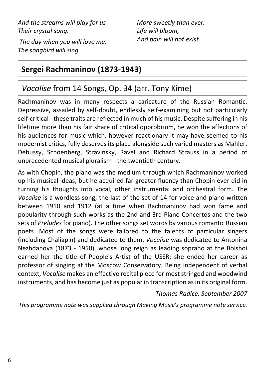*And the streams will play for us Their crystal song.*

 *The day when you will love me, The songbird will sing*

*More sweetly than ever. Life will bloom, And pain will not exist.*

# **Sergei Rachmaninov (1873-1943)**

# *Vocalise* from 14 Songs, Op. 34 (arr. Tony Kime)

Rachmaninov was in many respects a caricature of the Russian Romantic. Depressive, assailed by self-doubt, endlessly self-examining but not particularly self-critical - these traits are reflected in much of his music. Despite suffering in his lifetime more than his fair share of critical opprobrium, he won the affections of his audiences for music which, however reactionary it may have seemed to his modernist critics, fully deserves its place alongside such varied masters as Mahler, Debussy, Schoenberg, Stravinsky, Ravel and Richard Strauss in a period of unprecedented musical pluralism - the twentieth century.

As with Chopin, the piano was the medium through which Rachmaninov worked up his musical ideas, but he acquired far greater fluency than Chopin ever did in turning his thoughts into vocal, other instrumental and orchestral form. The *Vocalise* is a wordless song, the last of the set of 14 for voice and piano written between 1910 and 1912 (at a time when Rachmaninov had won fame and popularity through such works as the 2nd and 3rd Piano Concertos and the two sets of *Preludes* for piano). The other songs set words by various romantic Russian poets. Most of the songs were tailored to the talents of particular singers (including Chaliapin) and dedicated to them. *Vocalise* was dedicated to Antonina Nezhdanova (1873 - 1950), whose long reign as leading soprano at the Bolshoi earned her the title of People's Artist of the USSR; she ended her career as professor of singing at the Moscow Conservatory. Being independent of verbal context, *Vocalise* makes an effective recital piece for most stringed and woodwind instruments, and has become just as popular in transcription as in its original form.

#### *Thomas Radice, September 2007*

*This programme note was supplied through Making Music's programme note service.*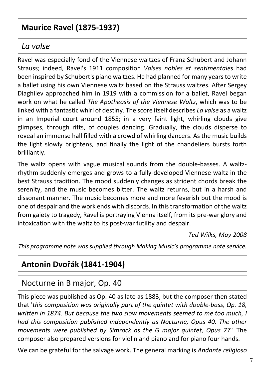## **Maurice Ravel (1875-1937)**

#### *La valse*

Ravel was especially fond of the Viennese waltzes of Franz Schubert and Johann Strauss; indeed, Ravel's 1911 composition *Valses nobles et sentimentales* had been inspired by Schubert's piano waltzes. He had planned for many years to write a ballet using his own Viennese waltz based on the Strauss waltzes. After Sergey Diaghilev approached him in 1919 with a commission for a ballet, Ravel began work on what he called *The Apotheosis of the Viennese Waltz*, which was to be linked with a fantastic whirl of destiny. The score itself describes *La valse* as a waltz in an Imperial court around 1855; in a very faint light, whirling clouds give glimpses, through rifts, of couples dancing. Gradually, the clouds disperse to reveal an immense hall filled with a crowd of whirling dancers. As the music builds the light slowly brightens, and finally the light of the chandeliers bursts forth brilliantly.

The waltz opens with vague musical sounds from the double-basses. A waltzrhythm suddenly emerges and grows to a fully-developed Viennese waltz in the best Strauss tradition. The mood suddenly changes as strident chords break the serenity, and the music becomes bitter. The waltz returns, but in a harsh and dissonant manner. The music becomes more and more feverish but the mood is one of despair and the work ends with discords. In this transformation of the waltz from gaiety to tragedy, Ravel is portraying Vienna itself, from its pre-war glory and intoxication with the waltz to its post-war futility and despair.

*Ted Wilks, May 2008*

*This programme note was supplied through Making Music's programme note service.*

# **Antonin Dvořák (1841-1904)**

# Nocturne in B major, Op. 40

This piece was published as Op. 40 as late as 1883, but the composer then stated that '*this composition was originally part of the quintet with double-bass, Op. 18, written in 1874. But because the two slow movements seemed to me too much, I had this composition published independently as Nocturne, Opus 40. The other movements were published by Simrock as the G major quintet, Opus 77.*' The composer also prepared versions for violin and piano and for piano four hands.

We can be grateful for the salvage work. The general marking is *Andante religioso*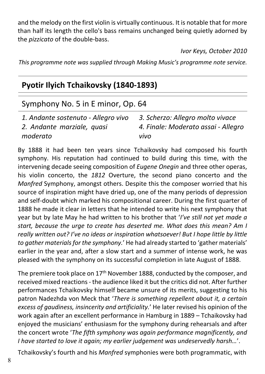and the melody on the first violin is virtually continuous. It is notable that for more than half its length the cello's bass remains unchanged being quietly adorned by the *pizzicato* of the double-bass.

*Ivor Keys, October 2010*

*This programme note was supplied through Making Music's programme note service.*

## **Pyotir Ilyich Tchaikovsky (1840-1893)**

## Symphony No. 5 in E minor, Op. 64

| 1. Andante sostenuto - Allegro vivo | 3. Scherzo: Allegro molto vivace    |
|-------------------------------------|-------------------------------------|
| 2. Andante marziale, quasi          | 4. Finale: Moderato assai - Allegro |
| moderato                            | vivo                                |

By 1888 it had been ten years since Tchaikovsky had composed his fourth symphony. His reputation had continued to build during this time, with the intervening decade seeing composition of *Eugene Onegin* and three other operas, his violin concerto, the *1812* Overture, the second piano concerto and the *Manfred* Symphony, amongst others. Despite this the composer worried that his source of inspiration might have dried up, one of the many periods of depression and self-doubt which marked his compositional career. During the first quarter of 1888 he made it clear in letters that he intended to write his next symphony that year but by late May he had written to his brother that '*I've still not yet made a start, because the urge to create has deserted me. What does this mean? Am I really written out? I've no ideas or inspiration whatsoever! But I hope little by little to gather materials for the symphony.*' He had already started to 'gather materials' earlier in the year and, after a slow start and a summer of intense work, he was pleased with the symphony on its successful completion in late August of 1888.

The premiere took place on 17<sup>th</sup> November 1888, conducted by the composer, and received mixed reactions - the audience liked it but the critics did not. After further performances Tchaikovsky himself became unsure of its merits, suggesting to his patron Nadezhda von Meck that '*There is something repellent about it, a certain excess of gaudiness, insincerity and artificiality.*' He later revised his opinion of the work again after an excellent performance in Hamburg in 1889 – Tchaikovsky had enjoyed the musicians' enthusiasm for the symphony during rehearsals and after the concert wrote '*The fifth symphony was again performance magnificently, and I have started to love it again; my earlier judgement was undeservedly harsh…*'.

Tchaikovsky's fourth and his *Manfred* symphonies were both programmatic, with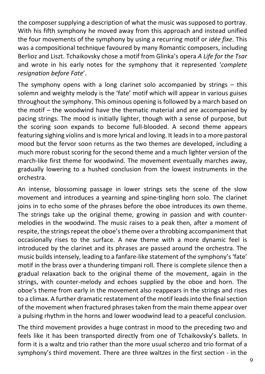the composer supplying a description of what the music was supposed to portray. With his fifth symphony he moved away from this approach and instead unified the four movements of the symphony by using a recurring motif or *idée fixe*. This was a compositional technique favoured by many Romantic composers, including Berlioz and Liszt. Tchaikovsky chose a motif from Glinka's opera *A Life for the Tsar* and wrote in his early notes for the symphony that it represented '*complete resignation before Fate*'.

The symphony opens with a long clarinet solo accompanied by strings  $-$  this solemn and weighty melody is the 'fate' motif which will appear in various guises throughout the symphony. This ominous opening is followed by a march based on the motif – the woodwind have the thematic material and are accompanied by pacing strings. The mood is initially lighter, though with a sense of purpose, but the scoring soon expands to become full-blooded. A second theme appears featuring sighing violins and is more lyrical and loving. It leads in to a more pastoral mood but the fervor soon returns as the two themes are developed, including a much more robust scoring for the second theme and a much lighter version of the march-like first theme for woodwind. The movement eventually marches away, gradually lowering to a hushed conclusion from the lowest instruments in the orchestra.

An intense, blossoming passage in lower strings sets the scene of the slow movement and introduces a yearning and spine-tingling horn solo. The clarinet joins in to echo some of the phrases before the oboe introduces its own theme. The strings take up the original theme, growing in passion and with countermelodies in the woodwind. The music raises to a peak then, after a moment of respite, the strings repeat the oboe's theme over a throbbing accompaniment that occasionally rises to the surface. A new theme with a more dynamic feel is introduced by the clarinet and its phrases are passed around the orchestra. The music builds intensely, leading to a fanfare-like statement of the symphony's 'fate' motif in the brass over a thundering timpani roll. There is complete silence then a gradual relaxation back to the original theme of the movement, again in the strings, with counter-melody and echoes supplied by the oboe and horn. The oboe's theme from early in the movement also reappears in the strings and rises to a climax. A further dramatic restatement of the motif leads into the final section of the movement when fractured phrases taken from the main theme appear over a pulsing rhythm in the horns and lower woodwind lead to a peaceful conclusion.

The third movement provides a huge contrast in mood to the preceding two and feels like it has been transported directly from one of Tchaikovsky's ballets. In form it is a waltz and trio rather than the more usual scherzo and trio format of a symphony's third movement. There are three waltzes in the first section - in the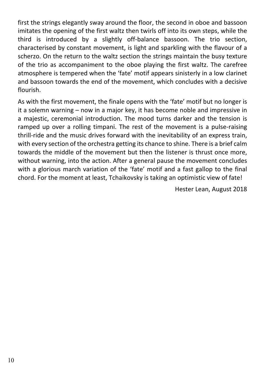first the strings elegantly sway around the floor, the second in oboe and bassoon imitates the opening of the first waltz then twirls off into its own steps, while the third is introduced by a slightly off-balance bassoon. The trio section, characterised by constant movement, is light and sparkling with the flavour of a scherzo. On the return to the waltz section the strings maintain the busy texture of the trio as accompaniment to the oboe playing the first waltz. The carefree atmosphere is tempered when the 'fate' motif appears sinisterly in a low clarinet and bassoon towards the end of the movement, which concludes with a decisive flourish.

As with the first movement, the finale opens with the 'fate' motif but no longer is it a solemn warning – now in a major key, it has become noble and impressive in a majestic, ceremonial introduction. The mood turns darker and the tension is ramped up over a rolling timpani. The rest of the movement is a pulse-raising thrill-ride and the music drives forward with the inevitability of an express train, with every section of the orchestra getting its chance to shine. There is a brief calm towards the middle of the movement but then the listener is thrust once more, without warning, into the action. After a general pause the movement concludes with a glorious march variation of the 'fate' motif and a fast gallop to the final chord. For the moment at least, Tchaikovsky is taking an optimistic view of fate!

Hester Lean, August 2018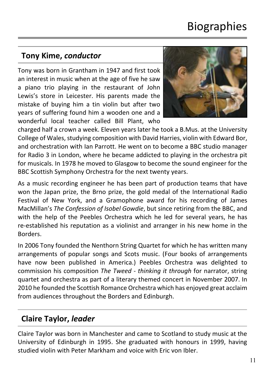# **Biographies**

## **Tony Kime,** *conductor*

Tony was born in Grantham in 1947 and first took an interest in music when at the age of five he saw a piano trio playing in the restaurant of John Lewis's store in Leicester. His parents made the mistake of buying him a tin violin but after two years of suffering found him a wooden one and a wonderful local teacher called Bill Plant, who



charged half a crown a week. Eleven years later he took a B.Mus. at the University College of Wales, studying composition with David Harries, violin with Edward Bor, and orchestration with Ian Parrott. He went on to become a BBC studio manager for Radio 3 in London, where he became addicted to playing in the orchestra pit for musicals. In 1978 he moved to Glasgow to become the sound engineer for the BBC Scottish Symphony Orchestra for the next twenty years.

As a music recording engineer he has been part of production teams that have won the Japan prize, the Brno prize, the gold medal of the International Radio Festival of New York, and a Gramophone award for his recording of James MacMillan's *The Confession of Isobel Gowdie*, but since retiring from the BBC, and with the help of the Peebles Orchestra which he led for several years, he has re-established his reputation as a violinist and arranger in his new home in the Borders.

In 2006 Tony founded the Nenthorn String Quartet for which he has written many arrangements of popular songs and Scots music. (Four books of arrangements have now been published in America.) Peebles Orchestra was delighted to commission his composition *The Tweed - thinking it through* for narrator, string quartet and orchestra as part of a literary themed concert in November 2007. In 2010 he founded the Scottish Romance Orchestra which has enjoyed great acclaim from audiences throughout the Borders and Edinburgh.

## **Claire Taylor,** *leader*

Claire Taylor was born in Manchester and came to Scotland to study music at the University of Edinburgh in 1995. She graduated with honours in 1999, having studied violin with Peter Markham and voice with Eric von Ibler.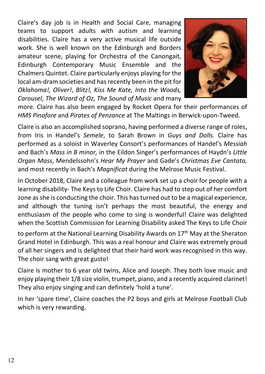Claire's day job is in Health and Social Care, managing teams to support adults with autism and learning disabilities. Claire has a very active musical life outside work. She is well known on the Edinburgh and Borders amateur scene, playing for Orchestra of the Canongait, Edinburgh Contemporary Music Ensemble and the Chalmers Quintet. Claire particularly enjoys playing for the local am-dram societies and has recently been in the pit for *Oklahoma!, Oliver!*, *Blitz!, Kiss Me Kate, Into the Woods, Carousel, The Wizard of Oz, The Sound of Music* and many



more. Claire has also been engaged by Rocket Opera for their performances of *HMS Pinafore* and *Pirates of Penzance* at The Maltings in Berwick-upon-Tweed.

Claire is also an accomplished soprano, having performed a diverse range of roles, from Iris in Handel's *Semele*, to Sarah Brown in *Guys and Dolls*. Claire has performed as a soloist in Waverley Consort's performances of Handel's *Messiah* and Bach's *Mass in B minor,* in the Eildon Singer's performances of Haydn's *Little Organ Mass*, Mendelssohn's *Hear My Prayer* and Gade's *Christmas Eve Cantata,* and most recently in Bach's *Magnificat* during the Melrose Music Festival.

In October 2018, Claire and a colleague from work set up a choir for people with a learning disability- The Keys to Life Choir. Claire has had to step out of her comfort zone as she is conducting the choir. This has turned out to be a magical experience, and although the tuning isn't perhaps the most beautiful, the energy and enthusiasm of the people who come to sing is wonderful! Claire was delighted when the Scottish Commission for Learning Disability asked The Keys to Life Choir

to perform at the National Learning Disability Awards on 17<sup>th</sup> May at the Sheraton Grand Hotel in Edinburgh. This was a real honour and Claire was extremely proud of all her singers and is delighted that their hard work was recognised in this way. The choir sang with great gusto!

Claire is mother to 6 year old twins, Alice and Joseph. They both love music and enjoy playing their 1/8 size violin, trumpet, piano, and a recently acquired clarinet! They also enjoy singing and can definitely 'hold a tune'.

In her 'spare time', Claire coaches the P2 boys and girls at Melrose Football Club which is very rewarding.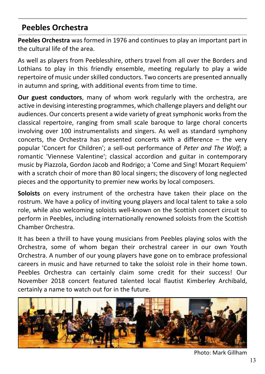#### **Peebles Orchestra**

**Peebles Orchestra** was formed in 1976 and continues to play an important part in the cultural life of the area.

As well as players from Peeblesshire, others travel from all over the Borders and Lothians to play in this friendly ensemble, meeting regularly to play a wide repertoire of music under skilled conductors. Two concerts are presented annually in autumn and spring, with additional events from time to time.

**Our guest conductors**, many of whom work regularly with the orchestra, are active in devising interesting programmes, which challenge players and delight our audiences. Our concerts present a wide variety of great symphonic works from the classical repertoire, ranging from small scale baroque to large choral concerts involving over 100 instrumentalists and singers. As well as standard symphony concerts, the Orchestra has presented concerts with a difference – the very popular 'Concert for Children'; a sell-out performance of *Peter and The Wolf*; a romantic 'Viennese Valentine'; classical accordion and guitar in contemporary music by Piazzola, Gordon Jacob and Rodrigo; a 'Come and Sing! Mozart Requiem' with a scratch choir of more than 80 local singers; the discovery of long neglected pieces and the opportunity to premier new works by local composers.

**Soloists** on every instrument of the orchestra have taken their place on the rostrum. We have a policy of inviting young players and local talent to take a solo role, while also welcoming soloists well-known on the Scottish concert circuit to perform in Peebles, including internationally renowned soloists from the Scottish Chamber Orchestra.

It has been a thrill to have young musicians from Peebles playing solos with the Orchestra, some of whom began their orchestral career in our own Youth Orchestra. A number of our young players have gone on to embrace professional careers in music and have returned to take the soloist role in their home town. Peebles Orchestra can certainly claim some credit for their success! Our November 2018 concert featured talented local flautist Kimberley Archibald, certainly a name to watch out for in the future.



Photo: Mark Gillham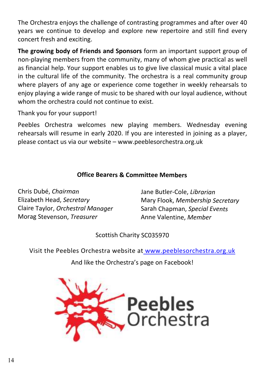The Orchestra enjoys the challenge of contrasting programmes and after over 40 years we continue to develop and explore new repertoire and still find every concert fresh and exciting.

**The growing body of Friends and Sponsors** form an important support group of non-playing members from the community, many of whom give practical as well as financial help. Your support enables us to give live classical music a vital place in the cultural life of the community. The orchestra is a real community group where players of any age or experience come together in weekly rehearsals to enjoy playing a wide range of music to be shared with our loyal audience, without whom the orchestra could not continue to exist.

Thank you for your support!

Peebles Orchestra welcomes new playing members. Wednesday evening rehearsals will resume in early 2020. If you are interested in joining as a player, please contact us via our website – www.peeblesorchestra.org.uk

#### **Office Bearers & Committee Members**

Chris Dubé, *Chairman* Elizabeth Head, *Secretary* Claire Taylor, *Orchestral Manager* Morag Stevenson, *Treasurer*

Jane Butler-Cole, *Librarian* Mary Flook, *Membership Secretary* Sarah Chapman, *Special Events* Anne Valentine, *Member*

Scottish Charity SC035970

Visit the Peebles Orchestra website at<www.peeblesorchestra.org.uk>

And like the Orchestra's page on Facebook!

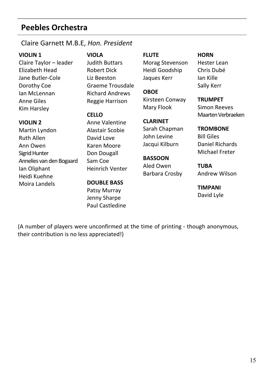#### **Peebles Orchestra**

#### Claire Garnett M.B.E, *Hon. President*

#### **VIOLIN 1**

**VIOLIN 2** Martin Lyndon Ruth Allen Ann Owen Sigrid Hunter

Ian Oliphant Heidi Kuehne Moira Landels

Claire Taylor – leader Elizabeth Head Jane Butler-Cole Dorothy Coe Ian McLennan Anne Giles Kim Harsley

Annelies van den Bogaard

**VIOLA** Judith Buttars Robert Dick Liz Beeston Graeme Trousdale Richard Andrews

Reggie Harrison

#### **CELLO**

Anne Valentine Alastair Scobie David Love Karen Moore Don Dougall Sam Coe Heinrich Venter

#### **DOUBLE BASS**

Patsy Murray Jenny Sharpe Paul Castledine

#### **FLUTE**

Morag Stevenson Heidi Goodship Jaques Kerr

#### **OBOE** Kirsteen Conway Mary Flook

#### **CLARINET** Sarah Chapman John Levine Jacqui Kilburn

#### **BASSOON** Aled Owen Barbara Crosby

Simon Reeves Maarten Verbraeken

**TROMBONE** Bill Giles Daniel Richards Michael Freter

**TRUMPET**

**HORN** Hester Lean Chris Dubé Ian Kille Sally Kerr

**TUBA** Andrew Wilson

**TIMPANI** David Lyle

(A number of players were unconfirmed at the time of printing - though anonymous, their contribution is no less appreciated!)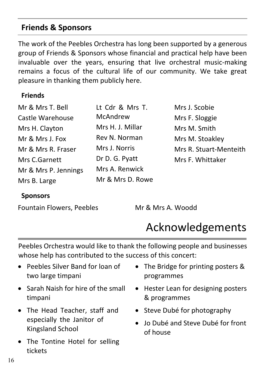#### **Friends & Sponsors**

The work of the Peebles Orchestra has long been supported by a generous group of Friends & Sponsors whose financial and practical help have been invaluable over the years, ensuring that live orchestral music-making remains a focus of the cultural life of our community. We take great pleasure in thanking them publicly here.

#### **Friends**

| Mr & Mrs T. Bell     | Lt Cdr & Mrs T.  | Mrs J. Scobie          |
|----------------------|------------------|------------------------|
| Castle Warehouse     | McAndrew         | Mrs F. Sloggie         |
| Mrs H. Clayton       | Mrs H. J. Millar | Mrs M. Smith           |
| Mr & Mrs J. Fox      | Rev N. Norman    | Mrs M. Stoakley        |
| Mr & Mrs R. Fraser   | Mrs J. Norris    | Mrs R. Stuart-Menteith |
| Mrs C.Garnett        | Dr D. G. Pyatt   | Mrs F. Whittaker       |
| Mr & Mrs P. Jennings | Mrs A. Renwick   |                        |
| Mrs B. Large         | Mr & Mrs D. Rowe |                        |

#### **Sponsors**

Fountain Flowers, Peebles Mr & Mrs A. Woodd

# Acknowledgements

Peebles Orchestra would like to thank the following people and businesses whose help has contributed to the success of this concert:

- · Peebles Silver Band for loan of two large timpani
- Sarah Naish for hire of the small timpani
- The Head Teacher, staff and especially the Janitor of Kingsland School
- The Tontine Hotel for selling tickets
- · The Bridge for printing posters & programmes
- · Hester Lean for designing posters & programmes
- Steve Dubé for photography
- · Jo Dubé and Steve Dubé for front of house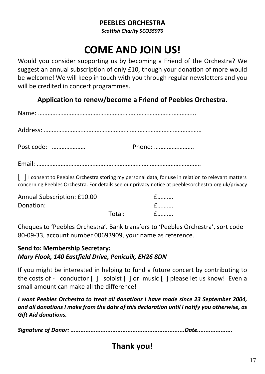#### **PEEBLES ORCHESTRA**

*Scottish Charity SCO35970*

# **COME AND JOIN US!**

Would you consider supporting us by becoming a Friend of the Orchestra? We suggest an annual subscription of only £10, though your donation of more would be welcome! We will keep in touch with you through regular newsletters and you will be credited in concert programmes.

**Application to renew/become a Friend of Peebles Orchestra.**

| Post code: | Phone: |
|------------|--------|
|            |        |

[ ] I consent to Peebles Orchestra storing my personal data, for use in relation to relevant matters concerning Peebles Orchestra. For details see our privacy notice at peeblesorchestra.org.uk/privacy

| Annual Subscription: £10.00 |        |  |
|-----------------------------|--------|--|
| Donation:                   |        |  |
|                             | Total: |  |

Cheques to 'Peebles Orchestra'. Bank transfers to 'Peebles Orchestra', sort code 80-09-33, account number 00693909, your name as reference.

#### **Send to: Membership Secretary:** *Mary Flook, 140 Eastfield Drive, Penicuik, EH26 8DN*

If you might be interested in helping to fund a future concert by contributing to the costs of - conductor [ ] soloist [ ] or music [ ] please let us know! Even a small amount can make all the difference!

*I want Peebles Orchestra to treat all donations I have made since 23 September 2004, and all donations I make from the date of this declaration until I notify you otherwise, as Gift Aid donations.*

*Signature of Donor: ....................................................................Date.....................*

# **Thank you!**